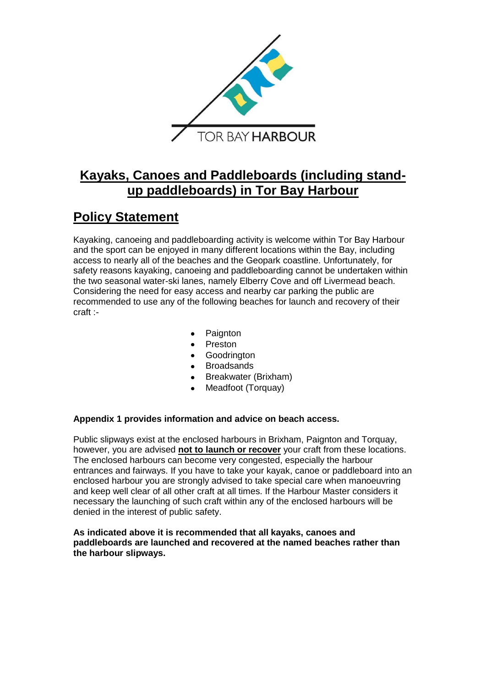

# **Kayaks, Canoes and Paddleboards (including standup paddleboards) in Tor Bay Harbour**

# **Policy Statement**

Kayaking, canoeing and paddleboarding activity is welcome within Tor Bay Harbour and the sport can be enjoyed in many different locations within the Bay, including access to nearly all of the beaches and the Geopark coastline. Unfortunately, for safety reasons kayaking, canoeing and paddleboarding cannot be undertaken within the two seasonal water-ski lanes, namely Elberry Cove and off Livermead beach. Considering the need for easy access and nearby car parking the public are recommended to use any of the following beaches for launch and recovery of their craft :-

- Paignton
- Preston
- Goodrington
- **Broadsands**
- Breakwater (Brixham)
- Meadfoot (Torquay)

# **Appendix 1 provides information and advice on beach access.**

Public slipways exist at the enclosed harbours in Brixham, Paignton and Torquay, however, you are advised **not to launch or recover** your craft from these locations. The enclosed harbours can become very congested, especially the harbour entrances and fairways. If you have to take your kayak, canoe or paddleboard into an enclosed harbour you are strongly advised to take special care when manoeuvring and keep well clear of all other craft at all times. If the Harbour Master considers it necessary the launching of such craft within any of the enclosed harbours will be denied in the interest of public safety.

**As indicated above it is recommended that all kayaks, canoes and paddleboards are launched and recovered at the named beaches rather than the harbour slipways.**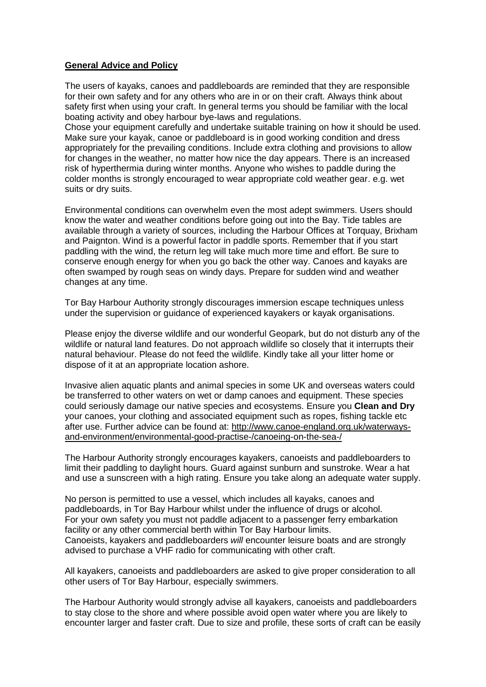#### **General Advice and Policy**

The users of kayaks, canoes and paddleboards are reminded that they are responsible for their own safety and for any others who are in or on their craft. Always think about safety first when using your craft. In general terms you should be familiar with the local boating activity and obey harbour bye-laws and regulations.

Chose your equipment carefully and undertake suitable training on how it should be used. Make sure your kayak, canoe or paddleboard is in good working condition and dress appropriately for the prevailing conditions. Include extra clothing and provisions to allow for changes in the weather, no matter how nice the day appears. There is an increased risk of hyperthermia during winter months. Anyone who wishes to paddle during the colder months is strongly encouraged to wear appropriate cold weather gear. e.g. wet suits or dry suits.

Environmental conditions can overwhelm even the most adept swimmers. Users should know the water and weather conditions before going out into the Bay. Tide tables are available through a variety of sources, including the Harbour Offices at Torquay, Brixham and Paignton. Wind is a powerful factor in paddle sports. Remember that if you start paddling with the wind, the return leg will take much more time and effort. Be sure to conserve enough energy for when you go back the other way. Canoes and kayaks are often swamped by rough seas on windy days. Prepare for sudden wind and weather changes at any time.

Tor Bay Harbour Authority strongly discourages immersion escape techniques unless under the supervision or guidance of experienced kayakers or kayak organisations.

Please enjoy the diverse wildlife and our wonderful Geopark, but do not disturb any of the wildlife or natural land features. Do not approach wildlife so closely that it interrupts their natural behaviour. Please do not feed the wildlife. Kindly take all your litter home or dispose of it at an appropriate location ashore.

Invasive alien aquatic plants and animal species in some UK and overseas waters could be transferred to other waters on wet or damp canoes and equipment. These species could seriously damage our native species and ecosystems. Ensure you **Clean and Dry** your canoes, your clothing and associated equipment such as ropes, fishing tackle etc after use. Further advice can be found at: [http://www.canoe-england.org.uk/waterways](http://www.canoe-england.org.uk/waterways-and-environment/environmental-good-practise-/canoeing-on-the-sea-/)[and-environment/environmental-good-practise-/canoeing-on-the-sea-/](http://www.canoe-england.org.uk/waterways-and-environment/environmental-good-practise-/canoeing-on-the-sea-/)

The Harbour Authority strongly encourages kayakers, canoeists and paddleboarders to limit their paddling to daylight hours. Guard against sunburn and sunstroke. Wear a hat and use a sunscreen with a high rating. Ensure you take along an adequate water supply.

No person is permitted to use a vessel, which includes all kayaks, canoes and paddleboards, in Tor Bay Harbour whilst under the influence of drugs or alcohol. For your own safety you must not paddle adjacent to a passenger ferry embarkation facility or any other commercial berth within Tor Bay Harbour limits. Canoeists, kayakers and paddleboarders *will* encounter leisure boats and are strongly advised to purchase a VHF radio for communicating with other craft.

All kayakers, canoeists and paddleboarders are asked to give proper consideration to all other users of Tor Bay Harbour, especially swimmers.

The Harbour Authority would strongly advise all kayakers, canoeists and paddleboarders to stay close to the shore and where possible avoid open water where you are likely to encounter larger and faster craft. Due to size and profile, these sorts of craft can be easily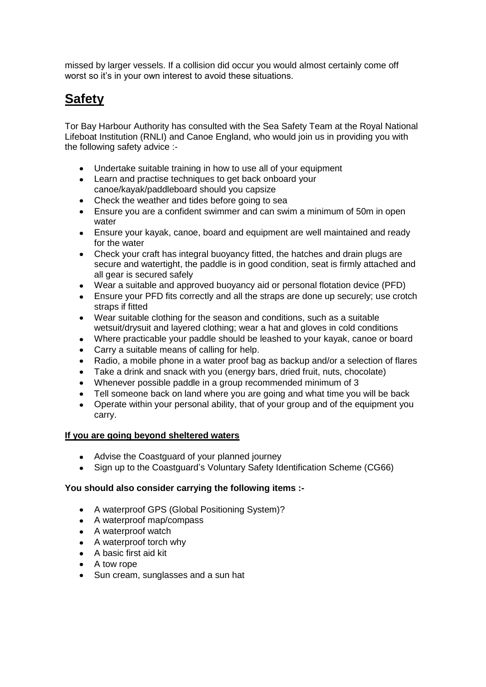missed by larger vessels. If a collision did occur you would almost certainly come off worst so it's in your own interest to avoid these situations.

# **Safety**

Tor Bay Harbour Authority has consulted with the Sea Safety Team at the Royal National Lifeboat Institution (RNLI) and Canoe England, who would join us in providing you with the following safety advice :-

- Undertake suitable training in how to use all of your equipment
- Learn and practise techniques to get back onboard your canoe/kayak/paddleboard should you capsize
- Check the weather and tides before going to sea
- Ensure you are a confident swimmer and can swim a minimum of 50m in open water
- Ensure your kayak, canoe, board and equipment are well maintained and ready for the water
- Check your craft has integral buoyancy fitted, the hatches and drain plugs are secure and watertight, the paddle is in good condition, seat is firmly attached and all gear is secured safely
- Wear a suitable and approved buoyancy aid or personal flotation device (PFD)
- Ensure your PFD fits correctly and all the straps are done up securely; use crotch straps if fitted
- Wear suitable clothing for the season and conditions, such as a suitable wetsuit/drysuit and layered clothing; wear a hat and gloves in cold conditions
- Where practicable your paddle should be leashed to your kayak, canoe or board
- Carry a suitable means of calling for help.
- Radio, a mobile phone in a water proof bag as backup and/or a selection of flares
- Take a drink and snack with you (energy bars, dried fruit, nuts, chocolate)
- Whenever possible paddle in a group recommended minimum of 3
- Tell someone back on land where you are going and what time you will be back
- Operate within your personal ability, that of your group and of the equipment you carry.

# **If you are going beyond sheltered waters**

- Advise the Coastguard of your planned journey
- Sign up to the Coastguard's Voluntary Safety Identification Scheme (CG66)

# **You should also consider carrying the following items :-**

- A waterproof GPS (Global Positioning System)?
- A waterproof map/compass
- A waterproof watch
- A waterproof torch why
- A basic first aid kit
- A tow rope
- Sun cream, sunglasses and a sun hat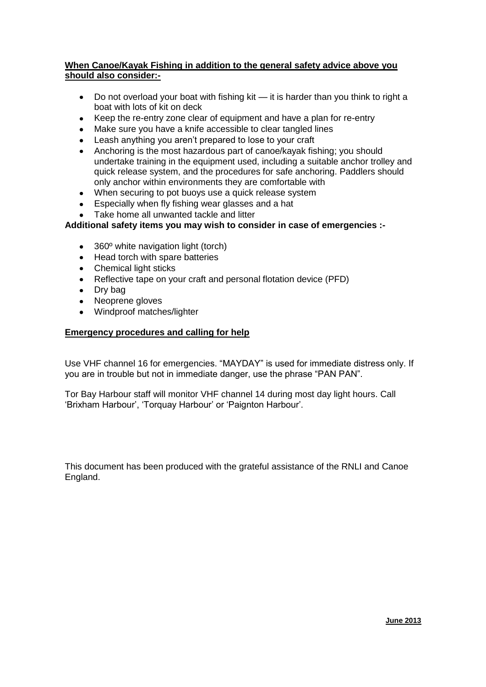### **When Canoe/Kayak Fishing in addition to the general safety advice above you should also consider:-**

- Do not overload your boat with fishing kit it is harder than you think to right a  $\bullet$ boat with lots of kit on deck
- Keep the re-entry zone clear of equipment and have a plan for re-entry
- Make sure you have a knife accessible to clear tangled lines
- Leash anything you aren't prepared to lose to your craft
- Anchoring is the most hazardous part of canoe/kayak fishing; you should undertake training in the equipment used, including a suitable anchor trolley and quick release system, and the procedures for safe anchoring. Paddlers should only anchor within environments they are comfortable with
- When securing to pot buoys use a quick release system
- Especially when fly fishing wear glasses and a hat
- Take home all unwanted tackle and litter

# **Additional safety items you may wish to consider in case of emergencies :-**

- 360° white navigation light (torch)
- Head torch with spare batteries
- Chemical light sticks
- Reflective tape on your craft and personal flotation device (PFD)
- Dry bag
- Neoprene gloves
- Windproof matches/lighter

# **Emergency procedures and calling for help**

Use VHF channel 16 for emergencies. "MAYDAY" is used for immediate distress only. If you are in trouble but not in immediate danger, use the phrase "PAN PAN".

Tor Bay Harbour staff will monitor VHF channel 14 during most day light hours. Call 'Brixham Harbour', 'Torquay Harbour' or 'Paignton Harbour'.

This document has been produced with the grateful assistance of the RNLI and Canoe England.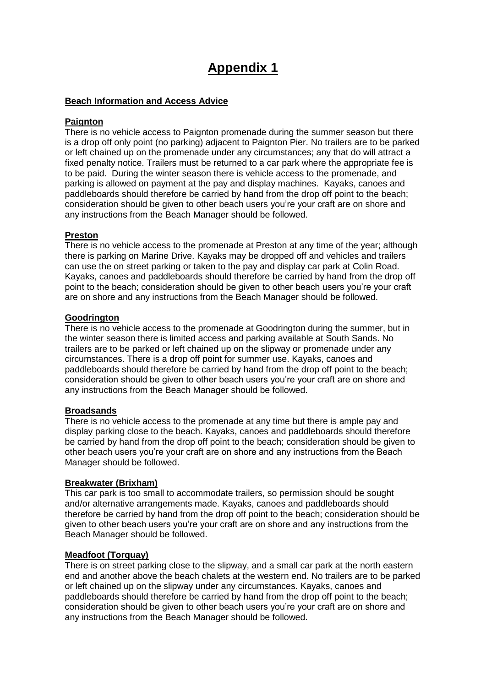# **Appendix 1**

### **Beach Information and Access Advice**

### **Paignton**

There is no vehicle access to Paignton promenade during the summer season but there is a drop off only point (no parking) adjacent to Paignton Pier. No trailers are to be parked or left chained up on the promenade under any circumstances; any that do will attract a fixed penalty notice. Trailers must be returned to a car park where the appropriate fee is to be paid. During the winter season there is vehicle access to the promenade, and parking is allowed on payment at the pay and display machines. Kayaks, canoes and paddleboards should therefore be carried by hand from the drop off point to the beach; consideration should be given to other beach users you're your craft are on shore and any instructions from the Beach Manager should be followed.

# **Preston**

There is no vehicle access to the promenade at Preston at any time of the year; although there is parking on Marine Drive. Kayaks may be dropped off and vehicles and trailers can use the on street parking or taken to the pay and display car park at Colin Road. Kayaks, canoes and paddleboards should therefore be carried by hand from the drop off point to the beach; consideration should be given to other beach users you're your craft are on shore and any instructions from the Beach Manager should be followed.

### **Goodrington**

There is no vehicle access to the promenade at Goodrington during the summer, but in the winter season there is limited access and parking available at South Sands. No trailers are to be parked or left chained up on the slipway or promenade under any circumstances. There is a drop off point for summer use. Kayaks, canoes and paddleboards should therefore be carried by hand from the drop off point to the beach; consideration should be given to other beach users you're your craft are on shore and any instructions from the Beach Manager should be followed.

### **Broadsands**

There is no vehicle access to the promenade at any time but there is ample pay and display parking close to the beach. Kayaks, canoes and paddleboards should therefore be carried by hand from the drop off point to the beach; consideration should be given to other beach users you're your craft are on shore and any instructions from the Beach Manager should be followed.

### **Breakwater (Brixham)**

This car park is too small to accommodate trailers, so permission should be sought and/or alternative arrangements made. Kayaks, canoes and paddleboards should therefore be carried by hand from the drop off point to the beach; consideration should be given to other beach users you're your craft are on shore and any instructions from the Beach Manager should be followed.

### **Meadfoot (Torquay)**

There is on street parking close to the slipway, and a small car park at the north eastern end and another above the beach chalets at the western end. No trailers are to be parked or left chained up on the slipway under any circumstances. Kayaks, canoes and paddleboards should therefore be carried by hand from the drop off point to the beach; consideration should be given to other beach users you're your craft are on shore and any instructions from the Beach Manager should be followed.